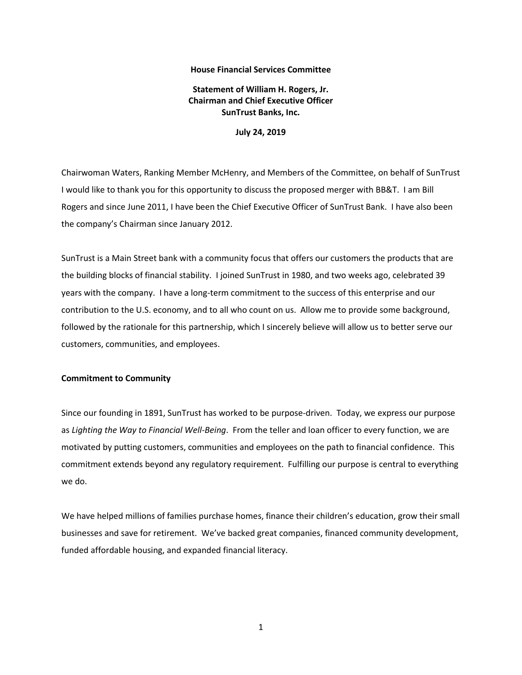## **House Financial Services Committee**

**Statement of William H. Rogers, Jr. Chairman and Chief Executive Officer SunTrust Banks, Inc.**

**July 24, 2019**

Chairwoman Waters, Ranking Member McHenry, and Members of the Committee, on behalf of SunTrust I would like to thank you for this opportunity to discuss the proposed merger with BB&T. I am Bill Rogers and since June 2011, I have been the Chief Executive Officer of SunTrust Bank. I have also been the company's Chairman since January 2012.

SunTrust is a Main Street bank with a community focus that offers our customers the products that are the building blocks of financial stability. I joined SunTrust in 1980, and two weeks ago, celebrated 39 years with the company. I have a long-term commitment to the success of this enterprise and our contribution to the U.S. economy, and to all who count on us. Allow me to provide some background, followed by the rationale for this partnership, which I sincerely believe will allow us to better serve our customers, communities, and employees.

## **Commitment to Community**

Since our founding in 1891, SunTrust has worked to be purpose-driven. Today, we express our purpose as *Lighting the Way to Financial Well-Being*. From the teller and loan officer to every function, we are motivated by putting customers, communities and employees on the path to financial confidence. This commitment extends beyond any regulatory requirement. Fulfilling our purpose is central to everything we do.

We have helped millions of families purchase homes, finance their children's education, grow their small businesses and save for retirement. We've backed great companies, financed community development, funded affordable housing, and expanded financial literacy.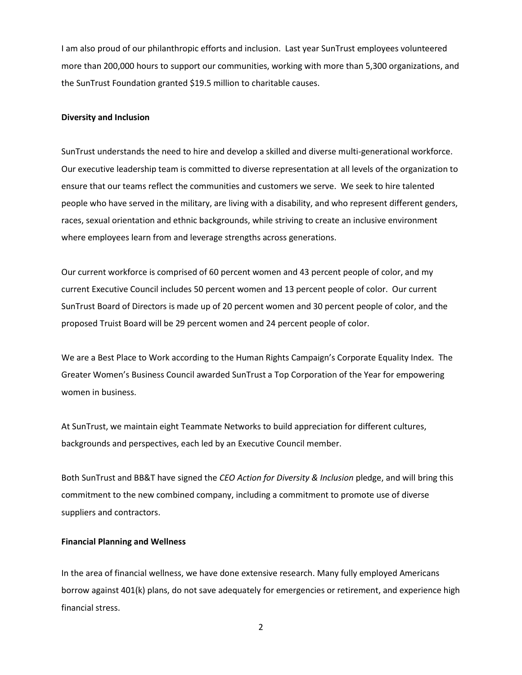I am also proud of our philanthropic efforts and inclusion. Last year SunTrust employees volunteered more than 200,000 hours to support our communities, working with more than 5,300 organizations, and the SunTrust Foundation granted \$19.5 million to charitable causes.

# **Diversity and Inclusion**

SunTrust understands the need to hire and develop a skilled and diverse multi-generational workforce. Our executive leadership team is committed to diverse representation at all levels of the organization to ensure that our teams reflect the communities and customers we serve. We seek to hire talented people who have served in the military, are living with a disability, and who represent different genders, races, sexual orientation and ethnic backgrounds, while striving to create an inclusive environment where employees learn from and leverage strengths across generations.

Our current workforce is comprised of 60 percent women and 43 percent people of color, and my current Executive Council includes 50 percent women and 13 percent people of color. Our current SunTrust Board of Directors is made up of 20 percent women and 30 percent people of color, and the proposed Truist Board will be 29 percent women and 24 percent people of color.

We are a Best Place to Work according to the Human Rights Campaign's Corporate Equality Index. The Greater Women's Business Council awarded SunTrust a Top Corporation of the Year for empowering women in business.

At SunTrust, we maintain eight Teammate Networks to build appreciation for different cultures, backgrounds and perspectives, each led by an Executive Council member.

Both SunTrust and BB&T have signed the *CEO Action for Diversity & Inclusion* pledge, and will bring this commitment to the new combined company, including a commitment to promote use of diverse suppliers and contractors.

### **Financial Planning and Wellness**

In the area of financial wellness, we have done extensive research. Many fully employed Americans borrow against 401(k) plans, do not save adequately for emergencies or retirement, and experience high financial stress.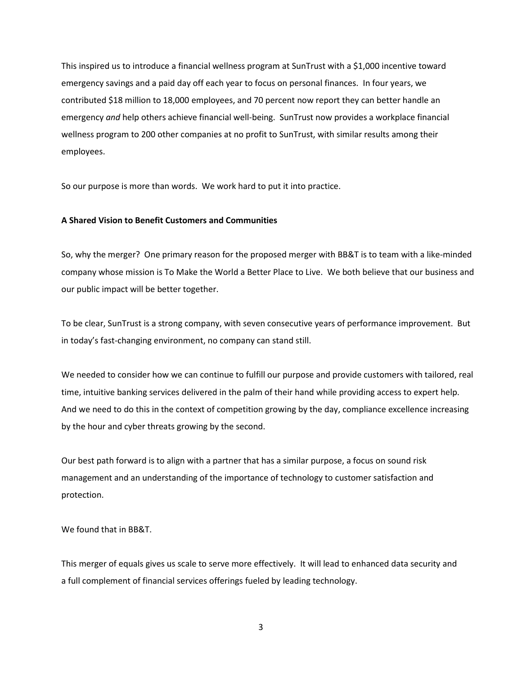This inspired us to introduce a financial wellness program at SunTrust with a \$1,000 incentive toward emergency savings and a paid day off each year to focus on personal finances. In four years, we contributed \$18 million to 18,000 employees, and 70 percent now report they can better handle an emergency *and* help others achieve financial well-being. SunTrust now provides a workplace financial wellness program to 200 other companies at no profit to SunTrust, with similar results among their employees.

So our purpose is more than words. We work hard to put it into practice.

# **A Shared Vision to Benefit Customers and Communities**

So, why the merger? One primary reason for the proposed merger with BB&T is to team with a like-minded company whose mission is To Make the World a Better Place to Live. We both believe that our business and our public impact will be better together.

To be clear, SunTrust is a strong company, with seven consecutive years of performance improvement. But in today's fast-changing environment, no company can stand still.

We needed to consider how we can continue to fulfill our purpose and provide customers with tailored, real time, intuitive banking services delivered in the palm of their hand while providing access to expert help. And we need to do this in the context of competition growing by the day, compliance excellence increasing by the hour and cyber threats growing by the second.

Our best path forward is to align with a partner that has a similar purpose, a focus on sound risk management and an understanding of the importance of technology to customer satisfaction and protection.

We found that in BB&T.

This merger of equals gives us scale to serve more effectively. It will lead to enhanced data security and a full complement of financial services offerings fueled by leading technology.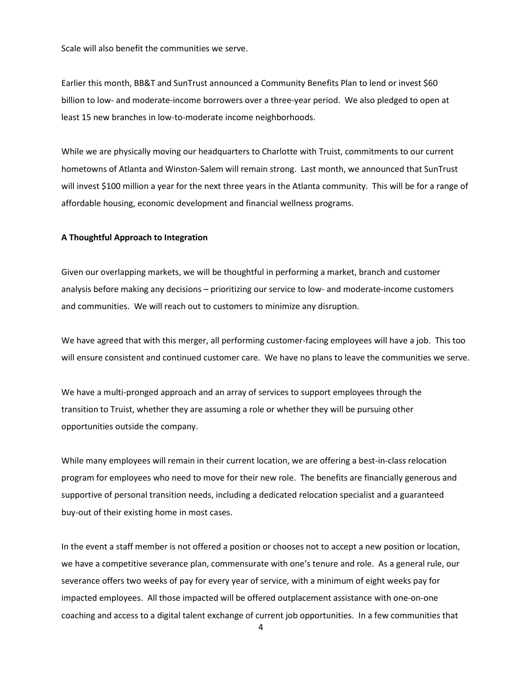Scale will also benefit the communities we serve.

Earlier this month, BB&T and SunTrust announced a Community Benefits Plan to lend or invest \$60 billion to low- and moderate-income borrowers over a three-year period. We also pledged to open at least 15 new branches in low-to-moderate income neighborhoods.

While we are physically moving our headquarters to Charlotte with Truist, commitments to our current hometowns of Atlanta and Winston-Salem will remain strong. Last month, we announced that SunTrust will invest \$100 million a year for the next three years in the Atlanta community. This will be for a range of affordable housing, economic development and financial wellness programs.

### **A Thoughtful Approach to Integration**

Given our overlapping markets, we will be thoughtful in performing a market, branch and customer analysis before making any decisions – prioritizing our service to low- and moderate-income customers and communities. We will reach out to customers to minimize any disruption.

We have agreed that with this merger, all performing customer-facing employees will have a job. This too will ensure consistent and continued customer care. We have no plans to leave the communities we serve.

We have a multi-pronged approach and an array of services to support employees through the transition to Truist, whether they are assuming a role or whether they will be pursuing other opportunities outside the company.

While many employees will remain in their current location, we are offering a best-in-class relocation program for employees who need to move for their new role. The benefits are financially generous and supportive of personal transition needs, including a dedicated relocation specialist and a guaranteed buy-out of their existing home in most cases.

In the event a staff member is not offered a position or chooses not to accept a new position or location, we have a competitive severance plan, commensurate with one's tenure and role. As a general rule, our severance offers two weeks of pay for every year of service, with a minimum of eight weeks pay for impacted employees. All those impacted will be offered outplacement assistance with one-on-one coaching and access to a digital talent exchange of current job opportunities. In a few communities that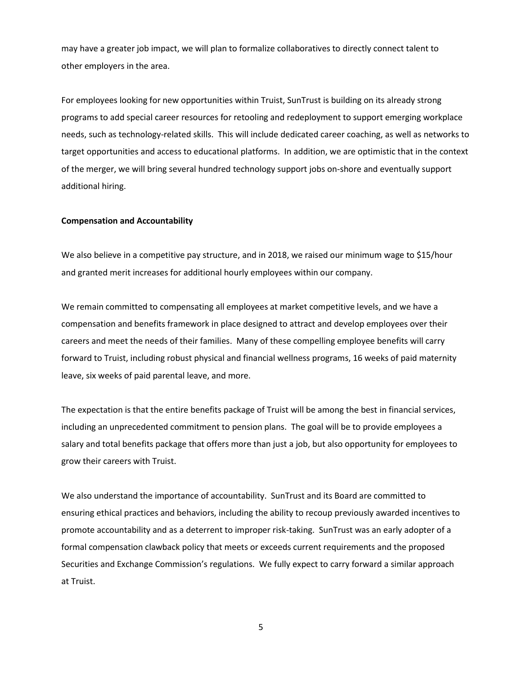may have a greater job impact, we will plan to formalize collaboratives to directly connect talent to other employers in the area.

For employees looking for new opportunities within Truist, SunTrust is building on its already strong programs to add special career resources for retooling and redeployment to support emerging workplace needs, such as technology-related skills. This will include dedicated career coaching, as well as networks to target opportunities and access to educational platforms. In addition, we are optimistic that in the context of the merger, we will bring several hundred technology support jobs on-shore and eventually support additional hiring.

# **Compensation and Accountability**

We also believe in a competitive pay structure, and in 2018, we raised our minimum wage to \$15/hour and granted merit increases for additional hourly employees within our company.

We remain committed to compensating all employees at market competitive levels, and we have a compensation and benefits framework in place designed to attract and develop employees over their careers and meet the needs of their families. Many of these compelling employee benefits will carry forward to Truist, including robust physical and financial wellness programs, 16 weeks of paid maternity leave, six weeks of paid parental leave, and more.

The expectation is that the entire benefits package of Truist will be among the best in financial services, including an unprecedented commitment to pension plans. The goal will be to provide employees a salary and total benefits package that offers more than just a job, but also opportunity for employees to grow their careers with Truist.

We also understand the importance of accountability. SunTrust and its Board are committed to ensuring ethical practices and behaviors, including the ability to recoup previously awarded incentives to promote accountability and as a deterrent to improper risk-taking. SunTrust was an early adopter of a formal compensation clawback policy that meets or exceeds current requirements and the proposed Securities and Exchange Commission's regulations. We fully expect to carry forward a similar approach at Truist.